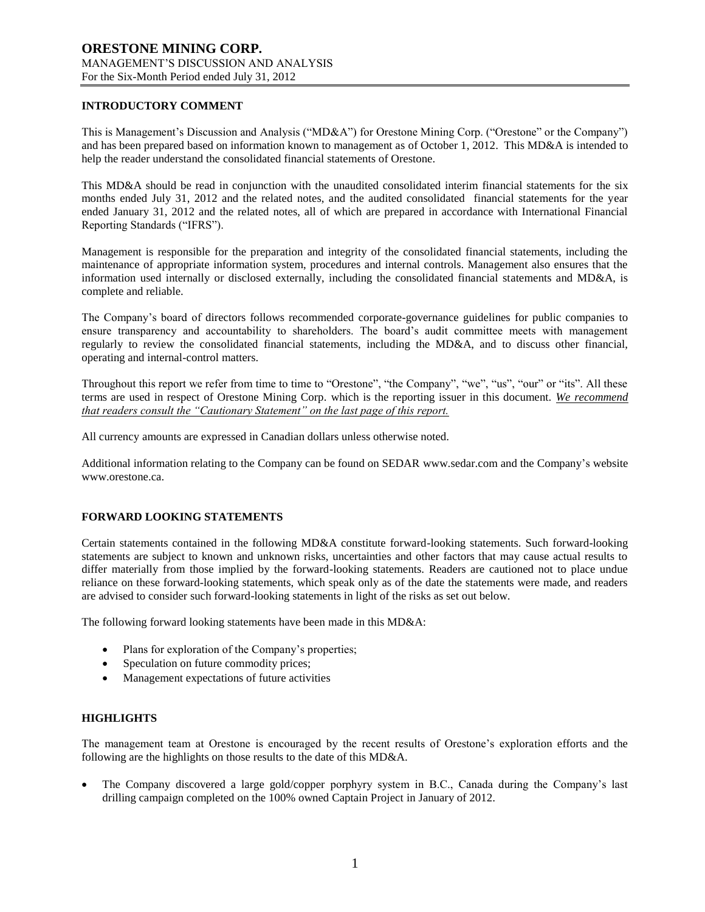# **INTRODUCTORY COMMENT**

This is Management's Discussion and Analysis ("MD&A") for Orestone Mining Corp. ("Orestone" or the Company") and has been prepared based on information known to management as of October 1, 2012. This MD&A is intended to help the reader understand the consolidated financial statements of Orestone.

This MD&A should be read in conjunction with the unaudited consolidated interim financial statements for the six months ended July 31, 2012 and the related notes, and the audited consolidated financial statements for the year ended January 31, 2012 and the related notes, all of which are prepared in accordance with International Financial Reporting Standards ("IFRS").

Management is responsible for the preparation and integrity of the consolidated financial statements, including the maintenance of appropriate information system, procedures and internal controls. Management also ensures that the information used internally or disclosed externally, including the consolidated financial statements and MD&A, is complete and reliable.

The Company's board of directors follows recommended corporate-governance guidelines for public companies to ensure transparency and accountability to shareholders. The board's audit committee meets with management regularly to review the consolidated financial statements, including the MD&A, and to discuss other financial, operating and internal-control matters.

Throughout this report we refer from time to time to "Orestone", "the Company", "we", "us", "our" or "its". All these terms are used in respect of Orestone Mining Corp. which is the reporting issuer in this document. *We recommend that readers consult the "Cautionary Statement" on the last page of this report.*

All currency amounts are expressed in Canadian dollars unless otherwise noted.

Additional information relating to the Company can be found on SEDAR www.sedar.com and the Company's website www.orestone.ca.

# **FORWARD LOOKING STATEMENTS**

Certain statements contained in the following MD&A constitute forward-looking statements. Such forward-looking statements are subject to known and unknown risks, uncertainties and other factors that may cause actual results to differ materially from those implied by the forward-looking statements. Readers are cautioned not to place undue reliance on these forward-looking statements, which speak only as of the date the statements were made, and readers are advised to consider such forward-looking statements in light of the risks as set out below.

The following forward looking statements have been made in this MD&A:

- Plans for exploration of the Company's properties;
- Speculation on future commodity prices;
- Management expectations of future activities

### **HIGHLIGHTS**

The management team at Orestone is encouraged by the recent results of Orestone's exploration efforts and the following are the highlights on those results to the date of this MD&A.

 The Company discovered a large gold/copper porphyry system in B.C., Canada during the Company's last drilling campaign completed on the 100% owned Captain Project in January of 2012.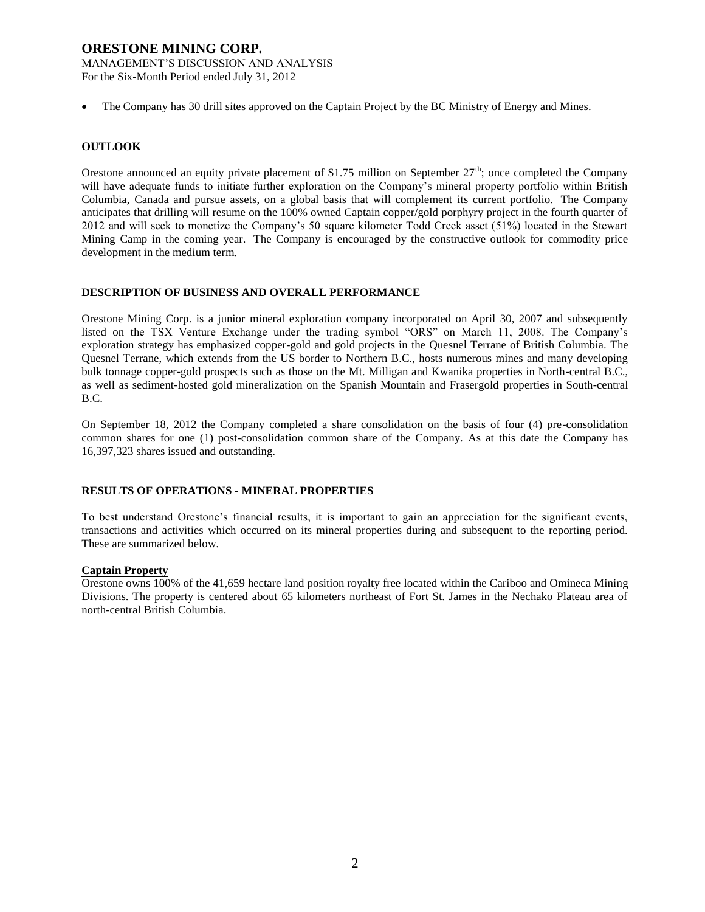The Company has 30 drill sites approved on the Captain Project by the BC Ministry of Energy and Mines.

# **OUTLOOK**

Orestone announced an equity private placement of \$1.75 million on September  $27<sup>th</sup>$ ; once completed the Company will have adequate funds to initiate further exploration on the Company's mineral property portfolio within British Columbia, Canada and pursue assets, on a global basis that will complement its current portfolio. The Company anticipates that drilling will resume on the 100% owned Captain copper/gold porphyry project in the fourth quarter of 2012 and will seek to monetize the Company's 50 square kilometer Todd Creek asset (51%) located in the Stewart Mining Camp in the coming year. The Company is encouraged by the constructive outlook for commodity price development in the medium term.

# **DESCRIPTION OF BUSINESS AND OVERALL PERFORMANCE**

Orestone Mining Corp. is a junior mineral exploration company incorporated on April 30, 2007 and subsequently listed on the TSX Venture Exchange under the trading symbol "ORS" on March 11, 2008. The Company's exploration strategy has emphasized copper-gold and gold projects in the Quesnel Terrane of British Columbia. The Quesnel Terrane, which extends from the US border to Northern B.C., hosts numerous mines and many developing bulk tonnage copper-gold prospects such as those on the Mt. Milligan and Kwanika properties in North-central B.C., as well as sediment-hosted gold mineralization on the Spanish Mountain and Frasergold properties in South-central B.C.

On September 18, 2012 the Company completed a share consolidation on the basis of four (4) pre-consolidation common shares for one (1) post-consolidation common share of the Company. As at this date the Company has 16,397,323 shares issued and outstanding.

# **RESULTS OF OPERATIONS - MINERAL PROPERTIES**

To best understand Orestone's financial results, it is important to gain an appreciation for the significant events, transactions and activities which occurred on its mineral properties during and subsequent to the reporting period. These are summarized below.

# **Captain Property**

Orestone owns 100% of the 41,659 hectare land position royalty free located within the Cariboo and Omineca Mining Divisions. The property is centered about 65 kilometers northeast of Fort St. James in the Nechako Plateau area of north-central British Columbia.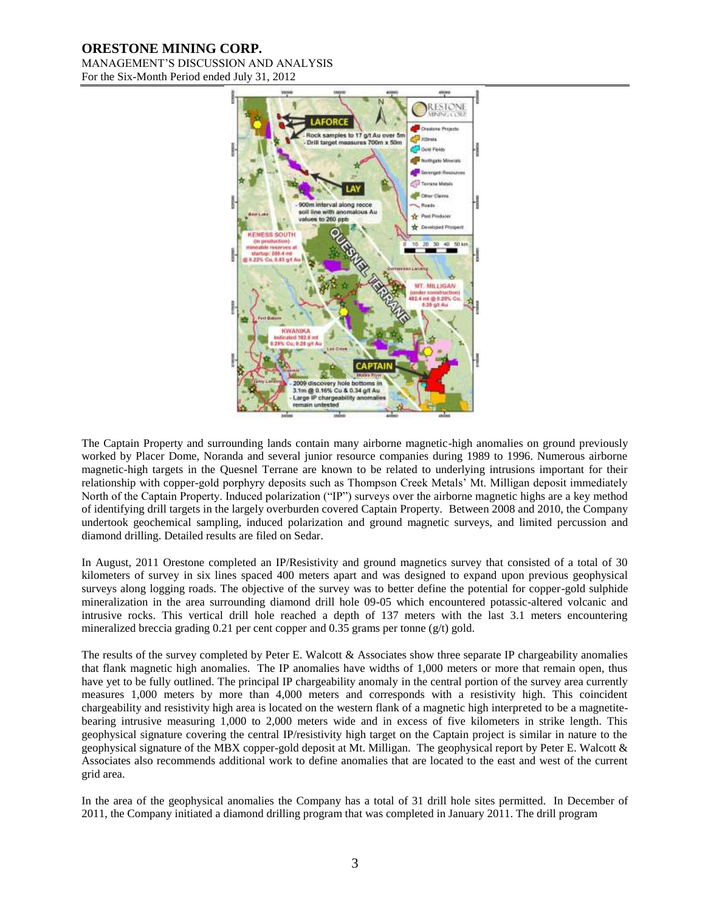# **ORESTONE MINING CORP.**

MANAGEMENT'S DISCUSSION AND ANALYSIS For the Six-Month Period ended July 31, 2012



The Captain Property and surrounding lands contain many airborne magnetic-high anomalies on ground previously worked by Placer Dome, Noranda and several junior resource companies during 1989 to 1996. Numerous airborne magnetic-high targets in the Quesnel Terrane are known to be related to underlying intrusions important for their relationship with copper-gold porphyry deposits such as Thompson Creek Metals' Mt. Milligan deposit immediately North of the Captain Property. Induced polarization ("IP") surveys over the airborne magnetic highs are a key method of identifying drill targets in the largely overburden covered Captain Property. Between 2008 and 2010, the Company undertook geochemical sampling, induced polarization and ground magnetic surveys, and limited percussion and diamond drilling. Detailed results are filed on Sedar.

In August, 2011 Orestone completed an IP/Resistivity and ground magnetics survey that consisted of a total of 30 kilometers of survey in six lines spaced 400 meters apart and was designed to expand upon previous geophysical surveys along logging roads. The objective of the survey was to better define the potential for copper-gold sulphide mineralization in the area surrounding diamond drill hole 09-05 which encountered potassic-altered volcanic and intrusive rocks. This vertical drill hole reached a depth of 137 meters with the last 3.1 meters encountering mineralized breccia grading 0.21 per cent copper and 0.35 grams per tonne ( $g/t$ ) gold.

The results of the survey completed by Peter E. Walcott  $\&$  Associates show three separate IP chargeability anomalies that flank magnetic high anomalies. The IP anomalies have widths of 1,000 meters or more that remain open, thus have yet to be fully outlined. The principal IP chargeability anomaly in the central portion of the survey area currently measures 1,000 meters by more than 4,000 meters and corresponds with a resistivity high. This coincident chargeability and resistivity high area is located on the western flank of a magnetic high interpreted to be a magnetitebearing intrusive measuring 1,000 to 2,000 meters wide and in excess of five kilometers in strike length. This geophysical signature covering the central IP/resistivity high target on the Captain project is similar in nature to the geophysical signature of the MBX copper-gold deposit at Mt. Milligan. The geophysical report by Peter E. Walcott & Associates also recommends additional work to define anomalies that are located to the east and west of the current grid area.

In the area of the geophysical anomalies the Company has a total of 31 drill hole sites permitted. In December of 2011, the Company initiated a diamond drilling program that was completed in January 2011. The drill program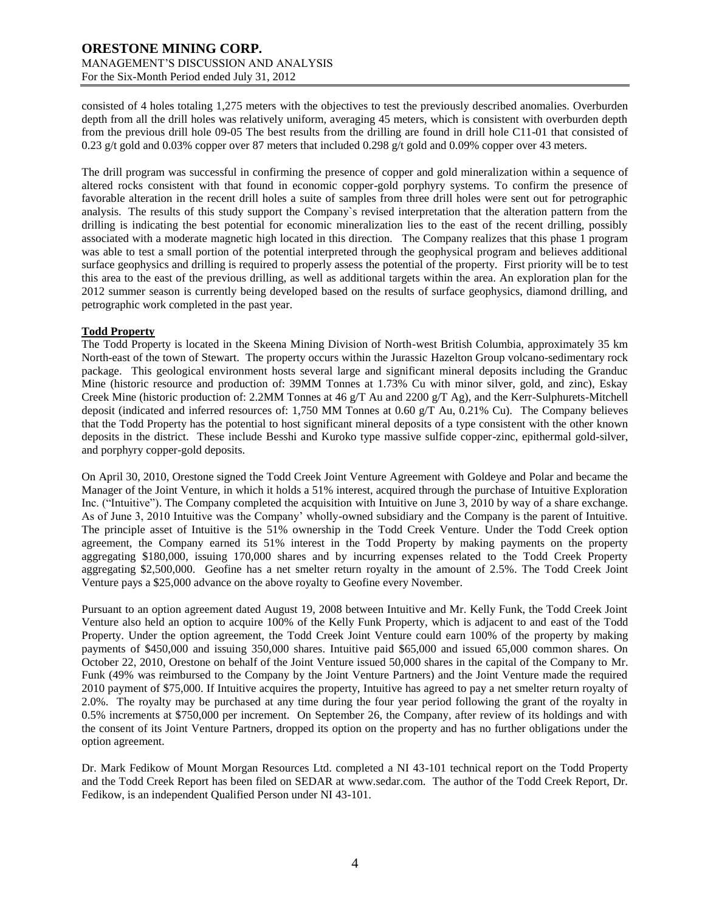consisted of 4 holes totaling 1,275 meters with the objectives to test the previously described anomalies. Overburden depth from all the drill holes was relatively uniform, averaging 45 meters, which is consistent with overburden depth from the previous drill hole 09-05 The best results from the drilling are found in drill hole C11-01 that consisted of 0.23 g/t gold and 0.03% copper over 87 meters that included 0.298 g/t gold and 0.09% copper over 43 meters.

The drill program was successful in confirming the presence of copper and gold mineralization within a sequence of altered rocks consistent with that found in economic copper-gold porphyry systems. To confirm the presence of favorable alteration in the recent drill holes a suite of samples from three drill holes were sent out for petrographic analysis. The results of this study support the Company`s revised interpretation that the alteration pattern from the drilling is indicating the best potential for economic mineralization lies to the east of the recent drilling, possibly associated with a moderate magnetic high located in this direction. The Company realizes that this phase 1 program was able to test a small portion of the potential interpreted through the geophysical program and believes additional surface geophysics and drilling is required to properly assess the potential of the property. First priority will be to test this area to the east of the previous drilling, as well as additional targets within the area. An exploration plan for the 2012 summer season is currently being developed based on the results of surface geophysics, diamond drilling, and petrographic work completed in the past year.

### **Todd Property**

The Todd Property is located in the Skeena Mining Division of North-west British Columbia, approximately 35 km North-east of the town of Stewart. The property occurs within the Jurassic Hazelton Group volcano-sedimentary rock package. This geological environment hosts several large and significant mineral deposits including the Granduc Mine (historic resource and production of: 39MM Tonnes at 1.73% Cu with minor silver, gold, and zinc), Eskay Creek Mine (historic production of: 2.2MM Tonnes at 46 g/T Au and 2200 g/T Ag), and the Kerr-Sulphurets-Mitchell deposit (indicated and inferred resources of: 1,750 MM Tonnes at 0.60 g/T Au, 0.21% Cu). The Company believes that the Todd Property has the potential to host significant mineral deposits of a type consistent with the other known deposits in the district. These include Besshi and Kuroko type massive sulfide copper-zinc, epithermal gold-silver, and porphyry copper-gold deposits.

On April 30, 2010, Orestone signed the Todd Creek Joint Venture Agreement with Goldeye and Polar and became the Manager of the Joint Venture, in which it holds a 51% interest, acquired through the purchase of Intuitive Exploration Inc. ("Intuitive"). The Company completed the acquisition with Intuitive on June 3, 2010 by way of a share exchange. As of June 3, 2010 Intuitive was the Company' wholly-owned subsidiary and the Company is the parent of Intuitive. The principle asset of Intuitive is the 51% ownership in the Todd Creek Venture. Under the Todd Creek option agreement, the Company earned its 51% interest in the Todd Property by making payments on the property aggregating \$180,000, issuing 170,000 shares and by incurring expenses related to the Todd Creek Property aggregating \$2,500,000. Geofine has a net smelter return royalty in the amount of 2.5%. The Todd Creek Joint Venture pays a \$25,000 advance on the above royalty to Geofine every November.

Pursuant to an option agreement dated August 19, 2008 between Intuitive and Mr. Kelly Funk, the Todd Creek Joint Venture also held an option to acquire 100% of the Kelly Funk Property, which is adjacent to and east of the Todd Property. Under the option agreement, the Todd Creek Joint Venture could earn 100% of the property by making payments of \$450,000 and issuing 350,000 shares. Intuitive paid \$65,000 and issued 65,000 common shares. On October 22, 2010, Orestone on behalf of the Joint Venture issued 50,000 shares in the capital of the Company to Mr. Funk (49% was reimbursed to the Company by the Joint Venture Partners) and the Joint Venture made the required 2010 payment of \$75,000. If Intuitive acquires the property, Intuitive has agreed to pay a net smelter return royalty of 2.0%. The royalty may be purchased at any time during the four year period following the grant of the royalty in 0.5% increments at \$750,000 per increment. On September 26, the Company, after review of its holdings and with the consent of its Joint Venture Partners, dropped its option on the property and has no further obligations under the option agreement.

Dr. Mark Fedikow of Mount Morgan Resources Ltd. completed a NI 43-101 technical report on the Todd Property and the Todd Creek Report has been filed on SEDAR at [www.sedar.com.](http://www.sedar.com/) The author of the Todd Creek Report, Dr. Fedikow, is an independent Qualified Person under NI 43-101.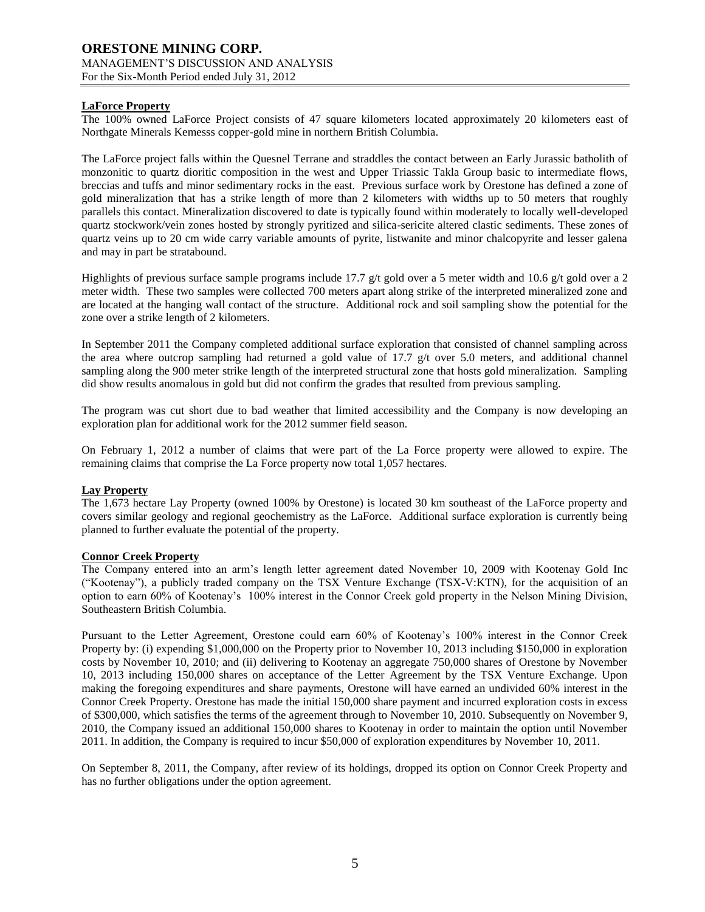# **LaForce Property**

The 100% owned LaForce Project consists of 47 square kilometers located approximately 20 kilometers east of Northgate Minerals Kemesss copper-gold mine in northern British Columbia.

The LaForce project falls within the Quesnel Terrane and straddles the contact between an Early Jurassic batholith of monzonitic to quartz dioritic composition in the west and Upper Triassic Takla Group basic to intermediate flows, breccias and tuffs and minor sedimentary rocks in the east. Previous surface work by Orestone has defined a zone of gold mineralization that has a strike length of more than 2 kilometers with widths up to 50 meters that roughly parallels this contact. Mineralization discovered to date is typically found within moderately to locally well-developed quartz stockwork/vein zones hosted by strongly pyritized and silica-sericite altered clastic sediments. These zones of quartz veins up to 20 cm wide carry variable amounts of pyrite, listwanite and minor chalcopyrite and lesser galena and may in part be stratabound.

Highlights of previous surface sample programs include 17.7 g/t gold over a 5 meter width and 10.6 g/t gold over a 2 meter width. These two samples were collected 700 meters apart along strike of the interpreted mineralized zone and are located at the hanging wall contact of the structure. Additional rock and soil sampling show the potential for the zone over a strike length of 2 kilometers.

In September 2011 the Company completed additional surface exploration that consisted of channel sampling across the area where outcrop sampling had returned a gold value of 17.7  $g/t$  over 5.0 meters, and additional channel sampling along the 900 meter strike length of the interpreted structural zone that hosts gold mineralization. Sampling did show results anomalous in gold but did not confirm the grades that resulted from previous sampling.

The program was cut short due to bad weather that limited accessibility and the Company is now developing an exploration plan for additional work for the 2012 summer field season.

On February 1, 2012 a number of claims that were part of the La Force property were allowed to expire. The remaining claims that comprise the La Force property now total 1,057 hectares.

### **Lay Property**

The 1,673 hectare Lay Property (owned 100% by Orestone) is located 30 km southeast of the LaForce property and covers similar geology and regional geochemistry as the LaForce. Additional surface exploration is currently being planned to further evaluate the potential of the property.

### **Connor Creek Property**

The Company entered into an arm's length letter agreement dated November 10, 2009 with Kootenay Gold Inc ("Kootenay"), a publicly traded company on the TSX Venture Exchange (TSX-V:KTN), for the acquisition of an option to earn 60% of Kootenay's 100% interest in the Connor Creek gold property in the Nelson Mining Division, Southeastern British Columbia.

Pursuant to the Letter Agreement, Orestone could earn 60% of Kootenay's 100% interest in the Connor Creek Property by: (i) expending \$1,000,000 on the Property prior to November 10, 2013 including \$150,000 in exploration costs by November 10, 2010; and (ii) delivering to Kootenay an aggregate 750,000 shares of Orestone by November 10, 2013 including 150,000 shares on acceptance of the Letter Agreement by the TSX Venture Exchange. Upon making the foregoing expenditures and share payments, Orestone will have earned an undivided 60% interest in the Connor Creek Property. Orestone has made the initial 150,000 share payment and incurred exploration costs in excess of \$300,000, which satisfies the terms of the agreement through to November 10, 2010. Subsequently on November 9, 2010, the Company issued an additional 150,000 shares to Kootenay in order to maintain the option until November 2011. In addition, the Company is required to incur \$50,000 of exploration expenditures by November 10, 2011.

On September 8, 2011, the Company, after review of its holdings, dropped its option on Connor Creek Property and has no further obligations under the option agreement.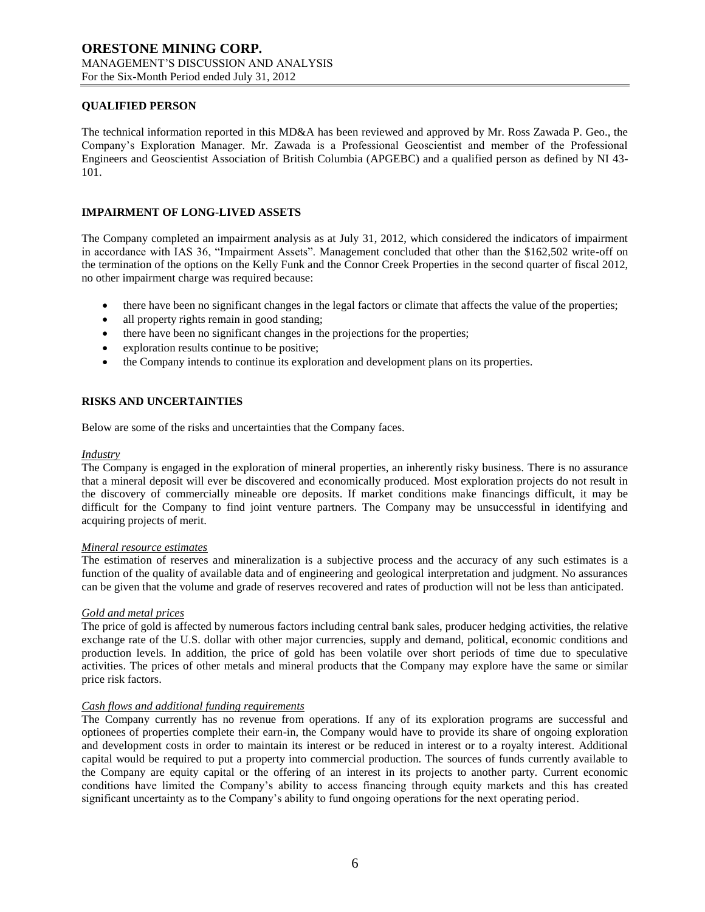### **QUALIFIED PERSON**

The technical information reported in this MD&A has been reviewed and approved by Mr. Ross Zawada P. Geo., the Company's Exploration Manager. Mr. Zawada is a Professional Geoscientist and member of the Professional Engineers and Geoscientist Association of British Columbia (APGEBC) and a qualified person as defined by NI 43- 101.

# **IMPAIRMENT OF LONG-LIVED ASSETS**

The Company completed an impairment analysis as at July 31, 2012, which considered the indicators of impairment in accordance with IAS 36, "Impairment Assets". Management concluded that other than the \$162,502 write-off on the termination of the options on the Kelly Funk and the Connor Creek Properties in the second quarter of fiscal 2012, no other impairment charge was required because:

- there have been no significant changes in the legal factors or climate that affects the value of the properties;
- all property rights remain in good standing;
- there have been no significant changes in the projections for the properties;
- exploration results continue to be positive;
- the Company intends to continue its exploration and development plans on its properties.

# **RISKS AND UNCERTAINTIES**

Below are some of the risks and uncertainties that the Company faces.

#### *Industry*

The Company is engaged in the exploration of mineral properties, an inherently risky business. There is no assurance that a mineral deposit will ever be discovered and economically produced. Most exploration projects do not result in the discovery of commercially mineable ore deposits. If market conditions make financings difficult, it may be difficult for the Company to find joint venture partners. The Company may be unsuccessful in identifying and acquiring projects of merit.

### *Mineral resource estimates*

The estimation of reserves and mineralization is a subjective process and the accuracy of any such estimates is a function of the quality of available data and of engineering and geological interpretation and judgment. No assurances can be given that the volume and grade of reserves recovered and rates of production will not be less than anticipated.

### *Gold and metal prices*

The price of gold is affected by numerous factors including central bank sales, producer hedging activities, the relative exchange rate of the U.S. dollar with other major currencies, supply and demand, political, economic conditions and production levels. In addition, the price of gold has been volatile over short periods of time due to speculative activities. The prices of other metals and mineral products that the Company may explore have the same or similar price risk factors.

### *Cash flows and additional funding requirements*

The Company currently has no revenue from operations. If any of its exploration programs are successful and optionees of properties complete their earn-in, the Company would have to provide its share of ongoing exploration and development costs in order to maintain its interest or be reduced in interest or to a royalty interest. Additional capital would be required to put a property into commercial production. The sources of funds currently available to the Company are equity capital or the offering of an interest in its projects to another party. Current economic conditions have limited the Company's ability to access financing through equity markets and this has created significant uncertainty as to the Company's ability to fund ongoing operations for the next operating period.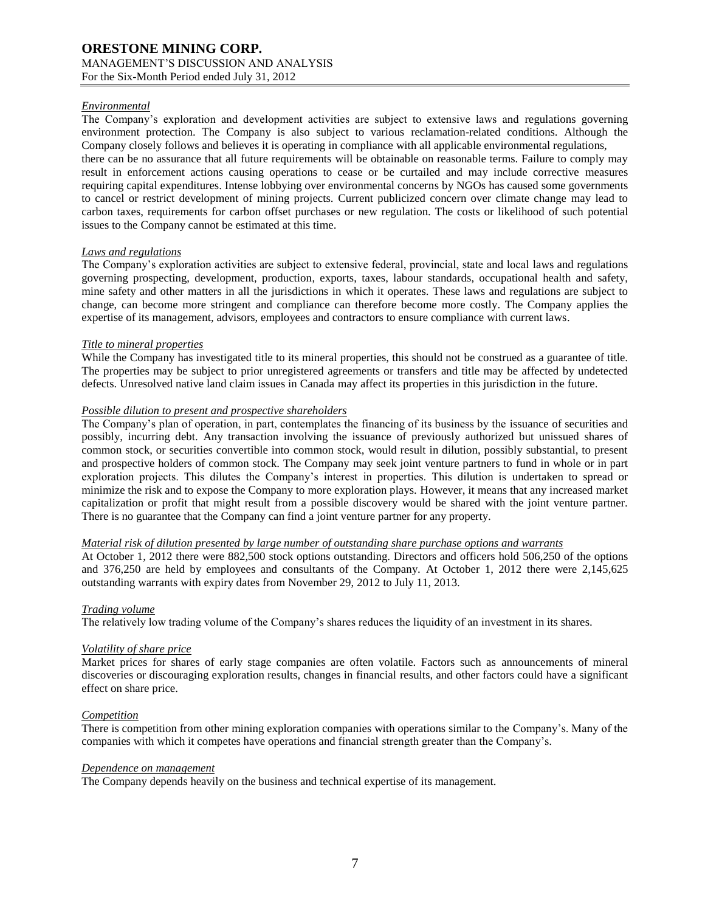### *Environmental*

The Company's exploration and development activities are subject to extensive laws and regulations governing environment protection. The Company is also subject to various reclamation-related conditions. Although the Company closely follows and believes it is operating in compliance with all applicable environmental regulations, there can be no assurance that all future requirements will be obtainable on reasonable terms. Failure to comply may result in enforcement actions causing operations to cease or be curtailed and may include corrective measures requiring capital expenditures. Intense lobbying over environmental concerns by NGOs has caused some governments to cancel or restrict development of mining projects. Current publicized concern over climate change may lead to carbon taxes, requirements for carbon offset purchases or new regulation. The costs or likelihood of such potential issues to the Company cannot be estimated at this time.

### *Laws and regulations*

The Company's exploration activities are subject to extensive federal, provincial, state and local laws and regulations governing prospecting, development, production, exports, taxes, labour standards, occupational health and safety, mine safety and other matters in all the jurisdictions in which it operates. These laws and regulations are subject to change, can become more stringent and compliance can therefore become more costly. The Company applies the expertise of its management, advisors, employees and contractors to ensure compliance with current laws.

### *Title to mineral properties*

While the Company has investigated title to its mineral properties, this should not be construed as a guarantee of title. The properties may be subject to prior unregistered agreements or transfers and title may be affected by undetected defects. Unresolved native land claim issues in Canada may affect its properties in this jurisdiction in the future.

### *Possible dilution to present and prospective shareholders*

The Company's plan of operation, in part, contemplates the financing of its business by the issuance of securities and possibly, incurring debt. Any transaction involving the issuance of previously authorized but unissued shares of common stock, or securities convertible into common stock, would result in dilution, possibly substantial, to present and prospective holders of common stock. The Company may seek joint venture partners to fund in whole or in part exploration projects. This dilutes the Company's interest in properties. This dilution is undertaken to spread or minimize the risk and to expose the Company to more exploration plays. However, it means that any increased market capitalization or profit that might result from a possible discovery would be shared with the joint venture partner. There is no guarantee that the Company can find a joint venture partner for any property.

### *Material risk of dilution presented by large number of outstanding share purchase options and warrants*

At October 1, 2012 there were 882,500 stock options outstanding. Directors and officers hold 506,250 of the options and 376,250 are held by employees and consultants of the Company. At October 1, 2012 there were 2,145,625 outstanding warrants with expiry dates from November 29, 2012 to July 11, 2013.

### *Trading volume*

The relatively low trading volume of the Company's shares reduces the liquidity of an investment in its shares.

### *Volatility of share price*

Market prices for shares of early stage companies are often volatile. Factors such as announcements of mineral discoveries or discouraging exploration results, changes in financial results, and other factors could have a significant effect on share price.

# *Competition*

There is competition from other mining exploration companies with operations similar to the Company's. Many of the companies with which it competes have operations and financial strength greater than the Company's.

### *Dependence on management*

The Company depends heavily on the business and technical expertise of its management.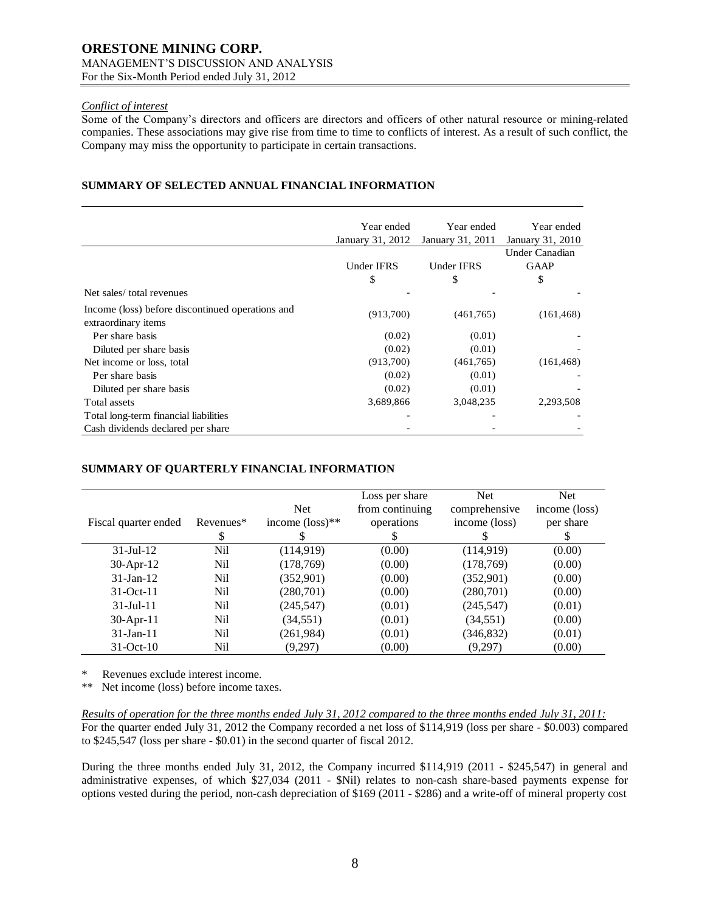### *Conflict of interest*

Some of the Company's directors and officers are directors and officers of other natural resource or mining-related companies. These associations may give rise from time to time to conflicts of interest. As a result of such conflict, the Company may miss the opportunity to participate in certain transactions.

# **SUMMARY OF SELECTED ANNUAL FINANCIAL INFORMATION**

|                                                                         | Year ended<br>January 31, 2012 | Year ended<br>January 31, 2011 | Year ended<br>January 31, 2010 |
|-------------------------------------------------------------------------|--------------------------------|--------------------------------|--------------------------------|
|                                                                         |                                |                                | Under Canadian                 |
|                                                                         | <b>Under IFRS</b>              | Under IFRS                     | <b>GAAP</b>                    |
|                                                                         | \$                             | \$                             | \$                             |
| Net sales/total revenues                                                |                                |                                |                                |
| Income (loss) before discontinued operations and<br>extraordinary items | (913,700)                      | (461,765)                      | (161, 468)                     |
| Per share basis                                                         | (0.02)                         | (0.01)                         |                                |
| Diluted per share basis                                                 | (0.02)                         | (0.01)                         |                                |
| Net income or loss, total                                               | (913,700)                      | (461,765)                      | (161, 468)                     |
| Per share basis                                                         | (0.02)                         | (0.01)                         |                                |
| Diluted per share basis                                                 | (0.02)                         | (0.01)                         |                                |
| Total assets                                                            | 3,689,866                      | 3,048,235                      | 2,293,508                      |
| Total long-term financial liabilities                                   |                                |                                |                                |
| Cash dividends declared per share                                       |                                |                                |                                |

# **SUMMARY OF QUARTERLY FINANCIAL INFORMATION**

|                      |           |                             | Loss per share  | <b>Net</b>    | <b>Net</b>    |
|----------------------|-----------|-----------------------------|-----------------|---------------|---------------|
|                      |           | <b>Net</b>                  | from continuing | comprehensive | income (loss) |
| Fiscal quarter ended | Revenues* | income $(\text{loss})^{**}$ | operations      | income (loss) | per share     |
|                      | S         |                             | \$              |               | S             |
| $31 -$ Jul $-12$     | Nil       | (114, 919)                  | (0.00)          | (114,919)     | (0.00)        |
| $30-Apr-12$          | Nil       | (178, 769)                  | (0.00)          | (178, 769)    | (0.00)        |
| $31$ -Jan-12         | Nil       | (352,901)                   | (0.00)          | (352,901)     | (0.00)        |
| $31-Oct-11$          | Nil       | (280,701)                   | (0.00)          | (280,701)     | (0.00)        |
| $31 -$ Jul $-11$     | Nil       | (245, 547)                  | (0.01)          | (245, 547)    | (0.01)        |
| $30$ -Apr-11         | Nil       | (34, 551)                   | (0.01)          | (34, 551)     | (0.00)        |
| $31$ -Jan-11         | Nil       | (261, 984)                  | (0.01)          | (346, 832)    | (0.01)        |
| $31-Oct-10$          | Nil       | (9,297)                     | (0.00)          | (9,297)       | (0.00)        |

\* Revenues exclude interest income.

\*\* Net income (loss) before income taxes.

*Results of operation for the three months ended July 31, 2012 compared to the three months ended July 31, 2011:* For the quarter ended July 31, 2012 the Company recorded a net loss of \$114,919 (loss per share - \$0.003) compared to \$245,547 (loss per share - \$0.01) in the second quarter of fiscal 2012.

During the three months ended July 31, 2012, the Company incurred \$114,919 (2011 - \$245,547) in general and administrative expenses, of which \$27,034 (2011 - \$Nil) relates to non-cash share-based payments expense for options vested during the period, non-cash depreciation of \$169 (2011 - \$286) and a write-off of mineral property cost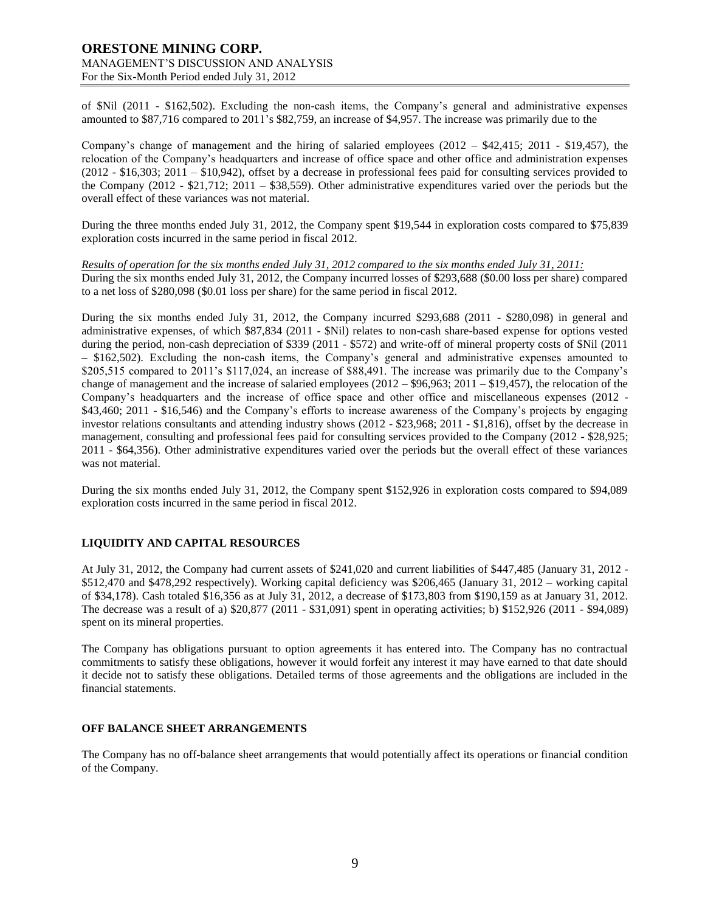# **ORESTONE MINING CORP.** MANAGEMENT'S DISCUSSION AND ANALYSIS For the Six-Month Period ended July 31, 2012

of \$Nil (2011 - \$162,502). Excluding the non-cash items, the Company's general and administrative expenses amounted to \$87,716 compared to 2011's \$82,759, an increase of \$4,957. The increase was primarily due to the

Company's change of management and the hiring of salaried employees  $(2012 - $42,415; 2011 - $19,457)$ , the relocation of the Company's headquarters and increase of office space and other office and administration expenses (2012 - \$16,303; 2011 – \$10,942), offset by a decrease in professional fees paid for consulting services provided to the Company (2012 - \$21,712; 2011 – \$38,559). Other administrative expenditures varied over the periods but the overall effect of these variances was not material.

During the three months ended July 31, 2012, the Company spent \$19,544 in exploration costs compared to \$75,839 exploration costs incurred in the same period in fiscal 2012.

*Results of operation for the six months ended July 31, 2012 compared to the six months ended July 31, 2011:* During the six months ended July 31, 2012, the Company incurred losses of \$293,688 (\$0.00 loss per share) compared to a net loss of \$280,098 (\$0.01 loss per share) for the same period in fiscal 2012.

During the six months ended July 31, 2012, the Company incurred \$293,688 (2011 - \$280,098) in general and administrative expenses, of which \$87,834 (2011 - \$Nil) relates to non-cash share-based expense for options vested during the period, non-cash depreciation of \$339 (2011 - \$572) and write-off of mineral property costs of \$Nil (2011 – \$162,502). Excluding the non-cash items, the Company's general and administrative expenses amounted to \$205,515 compared to 2011's \$117,024, an increase of \$88,491. The increase was primarily due to the Company's change of management and the increase of salaried employees (2012 – \$96,963; 2011 – \$19,457), the relocation of the Company's headquarters and the increase of office space and other office and miscellaneous expenses (2012 - \$43,460; 2011 - \$16,546) and the Company's efforts to increase awareness of the Company's projects by engaging investor relations consultants and attending industry shows (2012 - \$23,968; 2011 - \$1,816), offset by the decrease in management, consulting and professional fees paid for consulting services provided to the Company (2012 - \$28,925; 2011 - \$64,356). Other administrative expenditures varied over the periods but the overall effect of these variances was not material.

During the six months ended July 31, 2012, the Company spent \$152,926 in exploration costs compared to \$94,089 exploration costs incurred in the same period in fiscal 2012.

# **LIQUIDITY AND CAPITAL RESOURCES**

At July 31, 2012, the Company had current assets of \$241,020 and current liabilities of \$447,485 (January 31, 2012 - \$512,470 and \$478,292 respectively). Working capital deficiency was \$206,465 (January 31, 2012 – working capital of \$34,178). Cash totaled \$16,356 as at July 31, 2012, a decrease of \$173,803 from \$190,159 as at January 31, 2012. The decrease was a result of a) \$20,877 (2011 - \$31,091) spent in operating activities; b) \$152,926 (2011 - \$94,089) spent on its mineral properties.

The Company has obligations pursuant to option agreements it has entered into. The Company has no contractual commitments to satisfy these obligations, however it would forfeit any interest it may have earned to that date should it decide not to satisfy these obligations. Detailed terms of those agreements and the obligations are included in the financial statements.

### **OFF BALANCE SHEET ARRANGEMENTS**

The Company has no off-balance sheet arrangements that would potentially affect its operations or financial condition of the Company.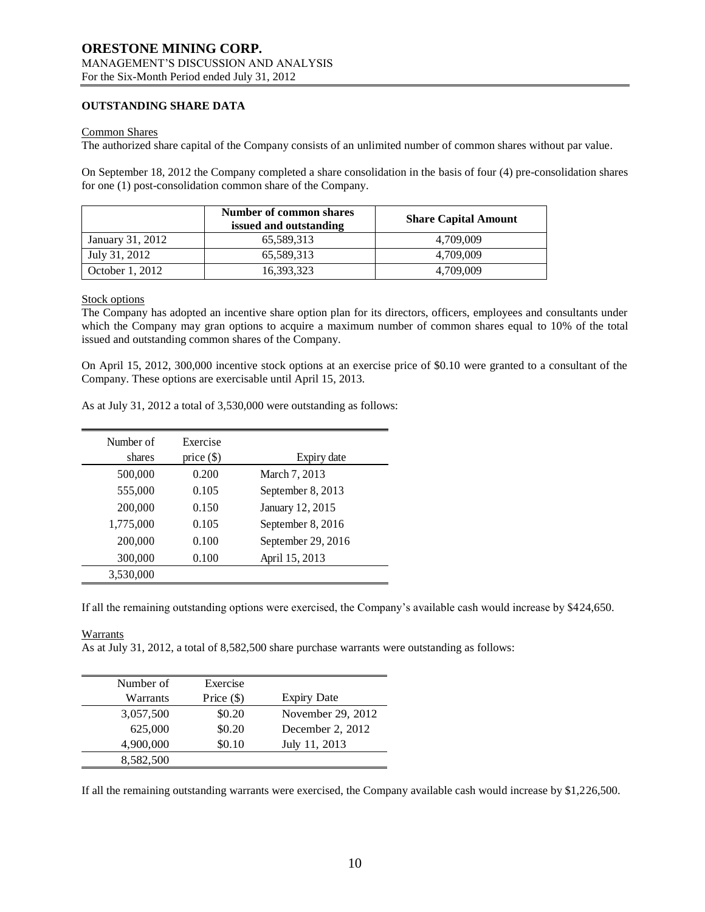### **OUTSTANDING SHARE DATA**

### Common Shares

The authorized share capital of the Company consists of an unlimited number of common shares without par value.

On September 18, 2012 the Company completed a share consolidation in the basis of four (4) pre-consolidation shares for one (1) post-consolidation common share of the Company.

|                  | <b>Number of common shares</b><br>issued and outstanding | <b>Share Capital Amount</b> |
|------------------|----------------------------------------------------------|-----------------------------|
| January 31, 2012 | 65.589.313                                               | 4.709.009                   |
| July 31, 2012    | 65,589,313                                               | 4.709.009                   |
| October 1, 2012  | 16,393,323                                               | 4.709.009                   |

### Stock options

The Company has adopted an incentive share option plan for its directors, officers, employees and consultants under which the Company may gran options to acquire a maximum number of common shares equal to 10% of the total issued and outstanding common shares of the Company.

On April 15, 2012, 300,000 incentive stock options at an exercise price of \$0.10 were granted to a consultant of the Company. These options are exercisable until April 15, 2013.

| Number of | Exercise     |                    |
|-----------|--------------|--------------------|
| shares    | price $(\$)$ | Expiry date        |
| 500,000   | 0.200        | March 7, 2013      |
| 555,000   | 0.105        | September 8, 2013  |
| 200,000   | 0.150        | January 12, 2015   |
| 1,775,000 | 0.105        | September 8, 2016  |
| 200,000   | 0.100        | September 29, 2016 |
| 300,000   | 0.100        | April 15, 2013     |
| 3,530,000 |              |                    |

As at July 31, 2012 a total of 3,530,000 were outstanding as follows:

If all the remaining outstanding options were exercised, the Company's available cash would increase by \$424,650.

### Warrants

As at July 31, 2012, a total of 8,582,500 share purchase warrants were outstanding as follows:

| Number of | Exercise     |                    |
|-----------|--------------|--------------------|
| Warrants  | Price $(\$)$ | <b>Expiry Date</b> |
| 3,057,500 | \$0.20       | November 29, 2012  |
| 625,000   | \$0.20       | December 2, 2012   |
| 4,900,000 | \$0.10       | July 11, 2013      |
| 8,582,500 |              |                    |

If all the remaining outstanding warrants were exercised, the Company available cash would increase by \$1,226,500.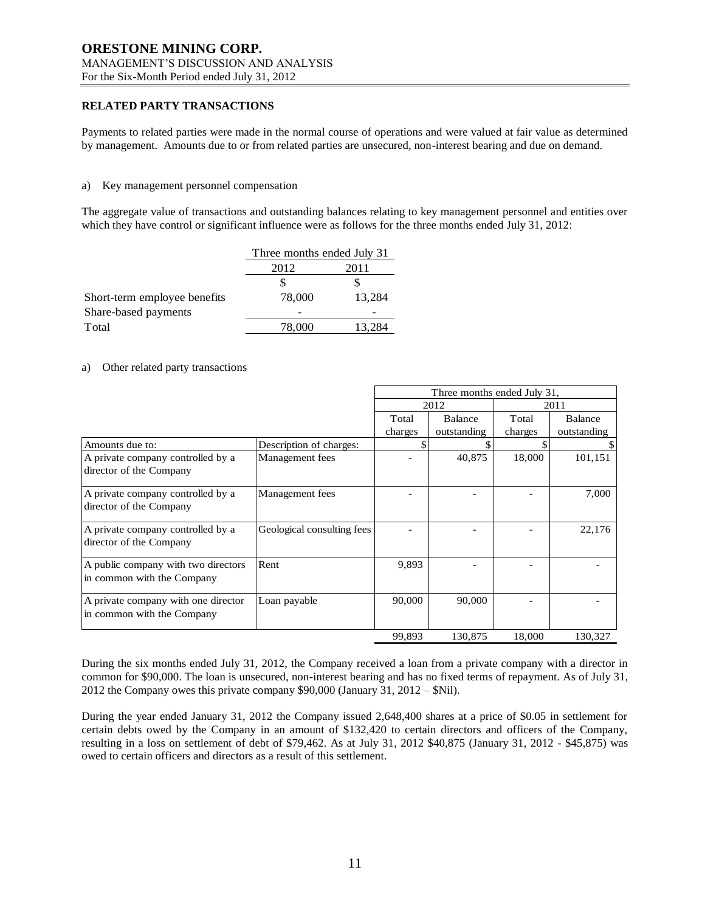### **RELATED PARTY TRANSACTIONS**

Payments to related parties were made in the normal course of operations and were valued at fair value as determined by management. Amounts due to or from related parties are unsecured, non-interest bearing and due on demand.

### a) Key management personnel compensation

The aggregate value of transactions and outstanding balances relating to key management personnel and entities over which they have control or significant influence were as follows for the three months ended July 31, 2012:

|                              | Three months ended July 31 |        |  |
|------------------------------|----------------------------|--------|--|
|                              | 2012<br>2011               |        |  |
|                              |                            |        |  |
| Short-term employee benefits | 78,000                     | 13,284 |  |
| Share-based payments         |                            |        |  |
| Total                        | 78,000                     | 13.284 |  |

### a) Other related party transactions

|                                                                   |                            | Three months ended July 31, |             |         |             |
|-------------------------------------------------------------------|----------------------------|-----------------------------|-------------|---------|-------------|
|                                                                   |                            | 2012<br>2011                |             |         |             |
|                                                                   |                            | Total                       | Balance     | Total   | Balance     |
|                                                                   |                            | charges                     | outstanding | charges | outstanding |
| Amounts due to:                                                   | Description of charges:    |                             |             |         |             |
| A private company controlled by a<br>director of the Company      | Management fees            |                             | 40,875      | 18,000  | 101,151     |
| A private company controlled by a<br>director of the Company      | Management fees            |                             |             |         | 7,000       |
| A private company controlled by a<br>director of the Company      | Geological consulting fees |                             |             |         | 22,176      |
| A public company with two directors<br>in common with the Company | Rent                       | 9,893                       |             |         |             |
| A private company with one director<br>in common with the Company | Loan payable               | 90,000                      | 90,000      |         |             |
|                                                                   |                            | 99,893                      | 130,875     | 18,000  | 130,327     |

During the six months ended July 31, 2012, the Company received a loan from a private company with a director in common for \$90,000. The loan is unsecured, non-interest bearing and has no fixed terms of repayment. As of July 31, 2012 the Company owes this private company \$90,000 (January 31, 2012 – \$Nil).

During the year ended January 31, 2012 the Company issued 2,648,400 shares at a price of \$0.05 in settlement for certain debts owed by the Company in an amount of \$132,420 to certain directors and officers of the Company, resulting in a loss on settlement of debt of \$79,462. As at July 31, 2012 \$40,875 (January 31, 2012 - \$45,875) was owed to certain officers and directors as a result of this settlement.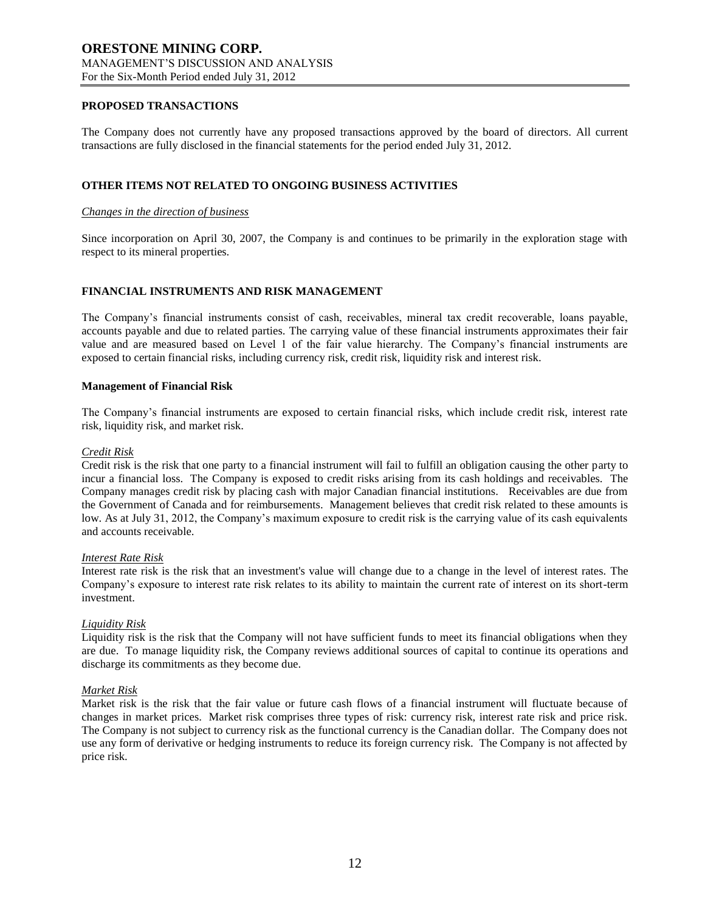### **PROPOSED TRANSACTIONS**

The Company does not currently have any proposed transactions approved by the board of directors. All current transactions are fully disclosed in the financial statements for the period ended July 31, 2012.

### **OTHER ITEMS NOT RELATED TO ONGOING BUSINESS ACTIVITIES**

### *Changes in the direction of business*

Since incorporation on April 30, 2007, the Company is and continues to be primarily in the exploration stage with respect to its mineral properties.

### **FINANCIAL INSTRUMENTS AND RISK MANAGEMENT**

The Company's financial instruments consist of cash, receivables, mineral tax credit recoverable, loans payable, accounts payable and due to related parties. The carrying value of these financial instruments approximates their fair value and are measured based on Level 1 of the fair value hierarchy. The Company's financial instruments are exposed to certain financial risks, including currency risk, credit risk, liquidity risk and interest risk.

### **Management of Financial Risk**

The Company's financial instruments are exposed to certain financial risks, which include credit risk, interest rate risk, liquidity risk, and market risk.

#### *Credit Risk*

Credit risk is the risk that one party to a financial instrument will fail to fulfill an obligation causing the other party to incur a financial loss. The Company is exposed to credit risks arising from its cash holdings and receivables. The Company manages credit risk by placing cash with major Canadian financial institutions. Receivables are due from the Government of Canada and for reimbursements. Management believes that credit risk related to these amounts is low. As at July 31, 2012, the Company's maximum exposure to credit risk is the carrying value of its cash equivalents and accounts receivable.

### *Interest Rate Risk*

Interest rate risk is the risk that an investment's value will change due to a change in the level of interest rates. The Company's exposure to interest rate risk relates to its ability to maintain the current rate of interest on its short-term investment.

### *Liquidity Risk*

Liquidity risk is the risk that the Company will not have sufficient funds to meet its financial obligations when they are due. To manage liquidity risk, the Company reviews additional sources of capital to continue its operations and discharge its commitments as they become due.

### *Market Risk*

Market risk is the risk that the fair value or future cash flows of a financial instrument will fluctuate because of changes in market prices. Market risk comprises three types of risk: currency risk, interest rate risk and price risk. The Company is not subject to currency risk as the functional currency is the Canadian dollar. The Company does not use any form of derivative or hedging instruments to reduce its foreign currency risk. The Company is not affected by price risk.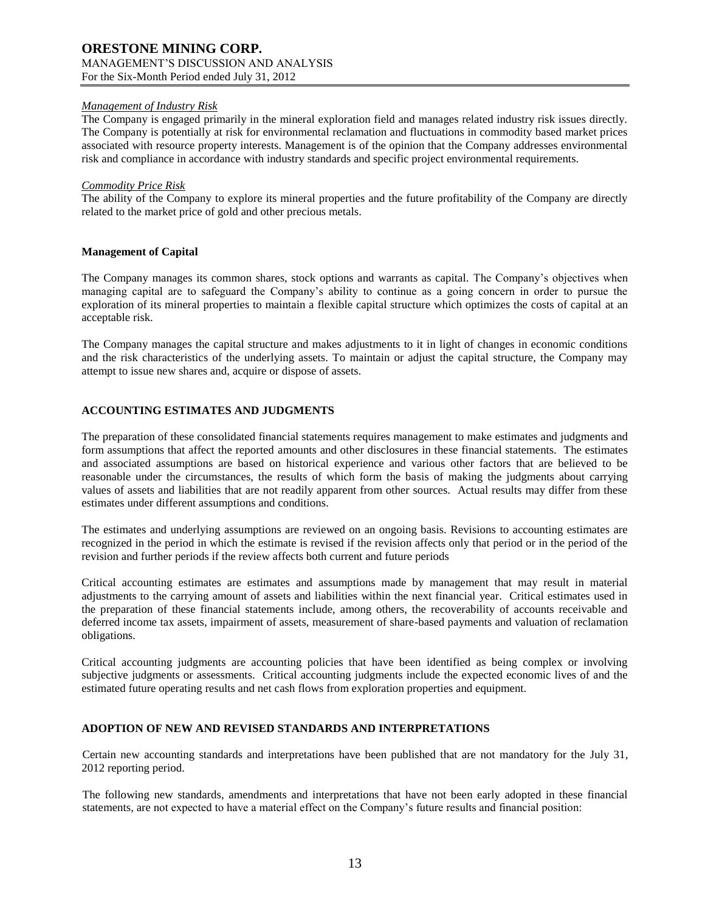# *Management of Industry Risk*

The Company is engaged primarily in the mineral exploration field and manages related industry risk issues directly. The Company is potentially at risk for environmental reclamation and fluctuations in commodity based market prices associated with resource property interests. Management is of the opinion that the Company addresses environmental risk and compliance in accordance with industry standards and specific project environmental requirements.

### *Commodity Price Risk*

The ability of the Company to explore its mineral properties and the future profitability of the Company are directly related to the market price of gold and other precious metals.

### **Management of Capital**

The Company manages its common shares, stock options and warrants as capital. The Company's objectives when managing capital are to safeguard the Company's ability to continue as a going concern in order to pursue the exploration of its mineral properties to maintain a flexible capital structure which optimizes the costs of capital at an acceptable risk.

The Company manages the capital structure and makes adjustments to it in light of changes in economic conditions and the risk characteristics of the underlying assets. To maintain or adjust the capital structure, the Company may attempt to issue new shares and, acquire or dispose of assets.

### **ACCOUNTING ESTIMATES AND JUDGMENTS**

The preparation of these consolidated financial statements requires management to make estimates and judgments and form assumptions that affect the reported amounts and other disclosures in these financial statements. The estimates and associated assumptions are based on historical experience and various other factors that are believed to be reasonable under the circumstances, the results of which form the basis of making the judgments about carrying values of assets and liabilities that are not readily apparent from other sources. Actual results may differ from these estimates under different assumptions and conditions.

The estimates and underlying assumptions are reviewed on an ongoing basis. Revisions to accounting estimates are recognized in the period in which the estimate is revised if the revision affects only that period or in the period of the revision and further periods if the review affects both current and future periods

Critical accounting estimates are estimates and assumptions made by management that may result in material adjustments to the carrying amount of assets and liabilities within the next financial year. Critical estimates used in the preparation of these financial statements include, among others, the recoverability of accounts receivable and deferred income tax assets, impairment of assets, measurement of share-based payments and valuation of reclamation obligations.

Critical accounting judgments are accounting policies that have been identified as being complex or involving subjective judgments or assessments. Critical accounting judgments include the expected economic lives of and the estimated future operating results and net cash flows from exploration properties and equipment.

# **ADOPTION OF NEW AND REVISED STANDARDS AND INTERPRETATIONS**

Certain new accounting standards and interpretations have been published that are not mandatory for the July 31, 2012 reporting period.

The following new standards, amendments and interpretations that have not been early adopted in these financial statements, are not expected to have a material effect on the Company's future results and financial position: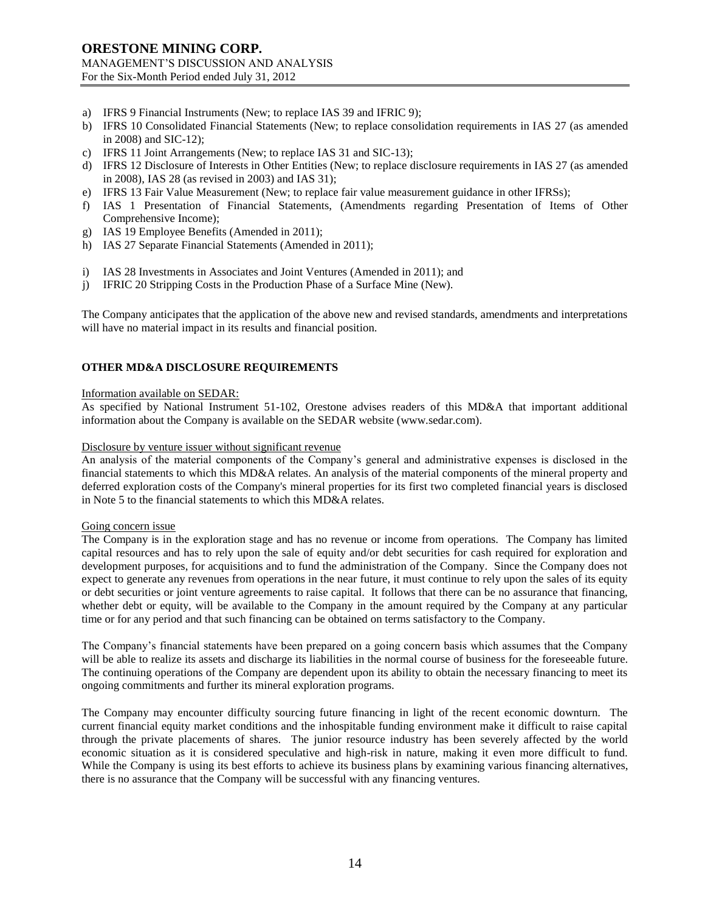- a) IFRS 9 Financial Instruments (New; to replace IAS 39 and IFRIC 9);
- b) IFRS 10 Consolidated Financial Statements (New; to replace consolidation requirements in IAS 27 (as amended in 2008) and SIC-12);
- c) IFRS 11 Joint Arrangements (New; to replace IAS 31 and SIC-13);
- d) IFRS 12 Disclosure of Interests in Other Entities (New; to replace disclosure requirements in IAS 27 (as amended in 2008), IAS 28 (as revised in 2003) and IAS 31);
- e) IFRS 13 Fair Value Measurement (New; to replace fair value measurement guidance in other IFRSs);
- f) IAS 1 Presentation of Financial Statements, (Amendments regarding Presentation of Items of Other Comprehensive Income);
- g) IAS 19 Employee Benefits (Amended in 2011);
- h) IAS 27 Separate Financial Statements (Amended in 2011);
- i) IAS 28 Investments in Associates and Joint Ventures (Amended in 2011); and
- j) IFRIC 20 Stripping Costs in the Production Phase of a Surface Mine (New).

The Company anticipates that the application of the above new and revised standards, amendments and interpretations will have no material impact in its results and financial position.

### **OTHER MD&A DISCLOSURE REQUIREMENTS**

#### Information available on SEDAR:

As specified by National Instrument 51-102, Orestone advises readers of this MD&A that important additional information about the Company is available on the SEDAR website (www.sedar.com).

#### Disclosure by venture issuer without significant revenue

An analysis of the material components of the Company's general and administrative expenses is disclosed in the financial statements to which this MD&A relates. An analysis of the material components of the mineral property and deferred exploration costs of the Company's mineral properties for its first two completed financial years is disclosed in Note 5 to the financial statements to which this MD&A relates.

#### Going concern issue

The Company is in the exploration stage and has no revenue or income from operations. The Company has limited capital resources and has to rely upon the sale of equity and/or debt securities for cash required for exploration and development purposes, for acquisitions and to fund the administration of the Company. Since the Company does not expect to generate any revenues from operations in the near future, it must continue to rely upon the sales of its equity or debt securities or joint venture agreements to raise capital. It follows that there can be no assurance that financing, whether debt or equity, will be available to the Company in the amount required by the Company at any particular time or for any period and that such financing can be obtained on terms satisfactory to the Company.

The Company's financial statements have been prepared on a going concern basis which assumes that the Company will be able to realize its assets and discharge its liabilities in the normal course of business for the foreseeable future. The continuing operations of the Company are dependent upon its ability to obtain the necessary financing to meet its ongoing commitments and further its mineral exploration programs.

The Company may encounter difficulty sourcing future financing in light of the recent economic downturn. The current financial equity market conditions and the inhospitable funding environment make it difficult to raise capital through the private placements of shares. The junior resource industry has been severely affected by the world economic situation as it is considered speculative and high-risk in nature, making it even more difficult to fund. While the Company is using its best efforts to achieve its business plans by examining various financing alternatives, there is no assurance that the Company will be successful with any financing ventures.